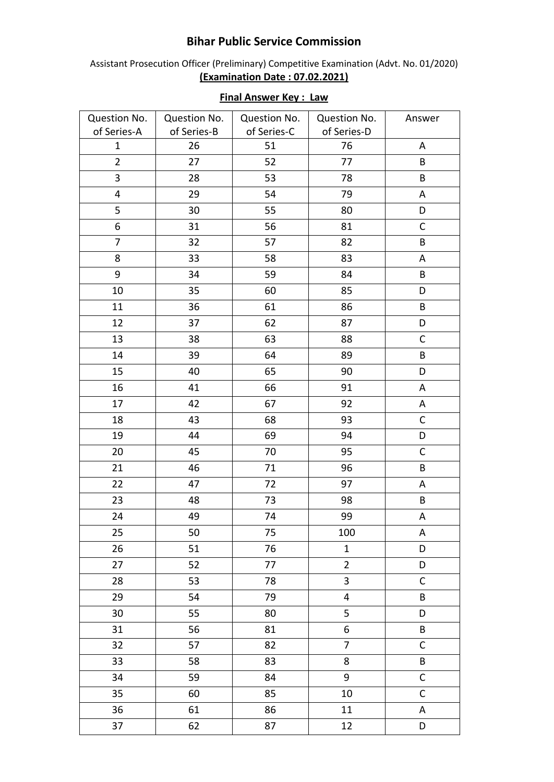## **Bihar Public Service Commission**

Assistant Prosecution Officer (Preliminary) Competitive Examination (Advt. No. 01/2020) **(Examination Date : 07.02.2021)**

| Question No.   | Question No. | Question No. | Question No.            | Answer      |
|----------------|--------------|--------------|-------------------------|-------------|
| of Series-A    | of Series-B  | of Series-C  | of Series-D             |             |
| $\mathbf{1}$   | 26           | 51           | 76                      | A           |
| $\overline{2}$ | 27           | 52           | 77                      | B           |
| 3              | 28           | 53           | 78                      | B           |
| 4              | 29           | 54           | 79                      | A           |
| 5              | 30           | 55           | 80                      | D           |
| 6              | 31           | 56           | 81                      | $\mathsf C$ |
| $\overline{7}$ | 32           | 57           | 82                      | B           |
| 8              | 33           | 58           | 83                      | A           |
| 9              | 34           | 59           | 84                      | B           |
| 10             | 35           | 60           | 85                      | D           |
| 11             | 36           | 61           | 86                      | B           |
| 12             | 37           | 62           | 87                      | D           |
| 13             | 38           | 63           | 88                      | $\mathsf C$ |
| 14             | 39           | 64           | 89                      | $\sf{B}$    |
| 15             | 40           | 65           | 90                      | D           |
| 16             | 41           | 66           | 91                      | $\mathsf A$ |
| 17             | 42           | 67           | 92                      | A           |
| 18             | 43           | 68           | 93                      | $\mathsf C$ |
| 19             | 44           | 69           | 94                      | D           |
| 20             | 45           | 70           | 95                      | $\mathsf C$ |
| 21             | 46           | 71           | 96                      | $\sf B$     |
| 22             | 47           | 72           | 97                      | $\mathsf A$ |
| 23             | 48           | 73           | 98                      | B           |
| 24             | 49           | 74           | 99                      | А           |
| 25             | 50           | 75           | 100                     | A           |
| 26             | 51           | 76           | $\mathbf{1}$            | D           |
| 27             | 52           | 77           | $\overline{2}$          | D           |
| 28             | 53           | 78           | $\overline{\mathbf{3}}$ | $\mathsf C$ |
| 29             | 54           | 79           | $\overline{4}$          | B           |
| 30             | 55           | 80           | 5                       | D           |
| 31             | 56           | 81           | 6                       | B           |
| 32             | 57           | 82           | $\overline{7}$          | $\mathsf C$ |
| 33             | 58           | 83           | 8                       | $\sf{B}$    |
| 34             | 59           | 84           | 9                       | $\mathsf C$ |
| 35             | 60           | 85           | 10                      | $\mathsf C$ |
| 36             | 61           | 86           | 11                      | A           |
| 37             | 62           | 87           | 12                      | D           |

## **Final Answer Key : Law**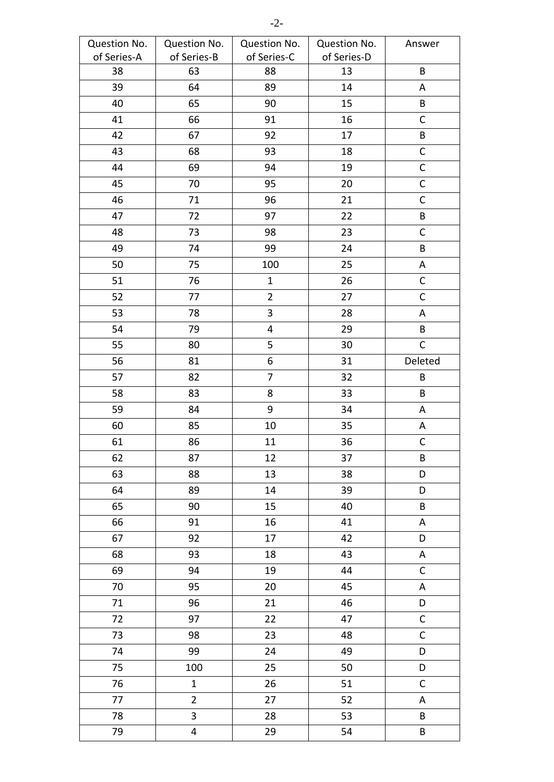| Question No. | Question No.   | Question No.            | Question No. | Answer      |
|--------------|----------------|-------------------------|--------------|-------------|
| of Series-A  | of Series-B    | of Series-C             | of Series-D  |             |
| 38           | 63             | 88                      | 13           | B           |
| 39           | 64             | 89                      | 14           | A           |
| 40           | 65             | 90                      | 15           | B           |
| 41           | 66             | 91                      | 16           | $\mathsf C$ |
| 42           | 67             | 92                      | 17           | $\sf{B}$    |
| 43           | 68             | 93                      | 18           | $\mathsf C$ |
| 44           | 69             | 94                      | 19           | $\mathsf C$ |
| 45           | 70             | 95                      | 20           | $\mathsf C$ |
| 46           | 71             | 96                      | 21           | $\mathsf C$ |
| 47           | 72             | 97                      | 22           | $\sf{B}$    |
| 48           | 73             | 98                      | 23           | $\mathsf C$ |
| 49           | 74             | 99                      | 24           | $\sf{B}$    |
| 50           | 75             | 100                     | 25           | A           |
| 51           | 76             | $\mathbf{1}$            | 26           | $\mathsf C$ |
| 52           | 77             | $\overline{2}$          | 27           | $\mathsf C$ |
| 53           | 78             | $\mathbf{3}$            | 28           | A           |
| 54           | 79             | $\overline{\mathbf{4}}$ | 29           | B           |
| 55           | 80             | 5                       | 30           | $\mathsf C$ |
| 56           | 81             | 6                       | 31           | Deleted     |
| 57           | 82             | $\overline{7}$          | 32           | B           |
| 58           | 83             | 8                       | 33           | B           |
| 59           | 84             | $9\,$                   | 34           | Α           |
| 60           | 85             | 10                      | 35           | A           |
| 61           | 86             | 11                      | 36           | $\mathsf C$ |
| 62           | 87             | 12                      | 37           | B           |
| 63           | 88             | 13                      | 38           | D           |
| 64           | 89             | 14                      | 39           | D           |
| 65           | 90             | 15                      | 40           | B           |
| 66           | 91             | 16                      | 41           | A           |
| 67           | 92             | 17                      | 42           | D           |
| 68           | 93             | 18                      | 43           | A           |
| 69           | 94             | 19                      | 44           | $\mathsf C$ |
| 70           | 95             | 20                      | 45           | A           |
| 71           | 96             | 21                      | 46           | D           |
| 72           | 97             | 22                      | 47           | $\mathsf C$ |
| 73           | 98             | 23                      | 48           | $\mathsf C$ |
| 74           | 99             | 24                      | 49           | D           |
| 75           | 100            | 25                      | 50           | D           |
| 76           | $\mathbf{1}$   | 26                      | 51           | $\mathsf C$ |
| 77           | $\overline{2}$ | 27                      | 52           | A           |
| 78           | 3              | 28                      | 53           | B           |
| 79           | 4              | 29                      | 54           | B           |